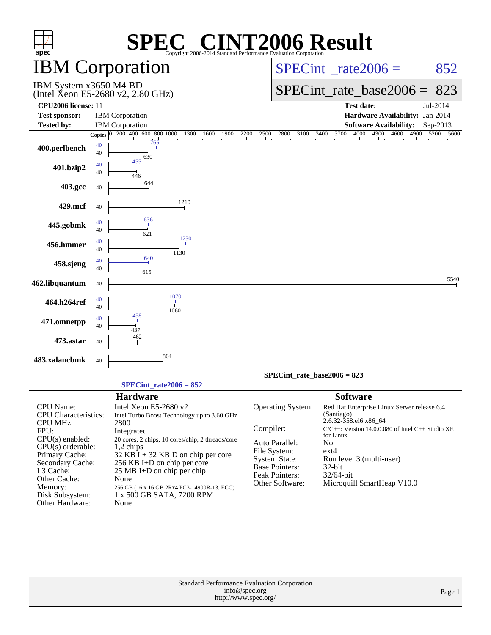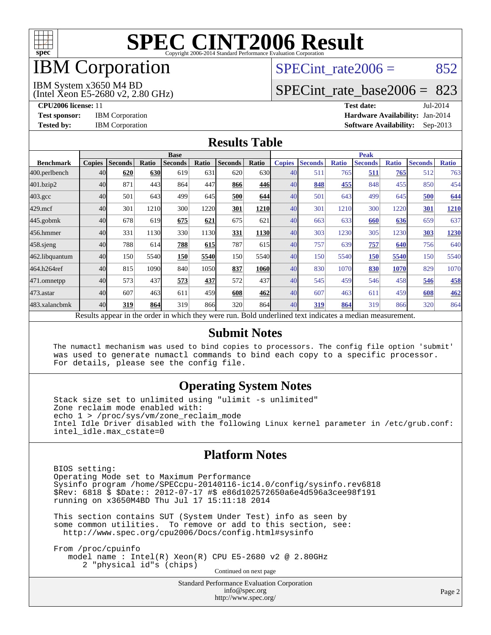

## IBM Corporation

## SPECint rate $2006 = 852$

#### IBM System x3650 M4 BD

(Intel Xeon E5-2680 v2, 2.80 GHz)

[SPECint\\_rate\\_base2006 =](http://www.spec.org/auto/cpu2006/Docs/result-fields.html#SPECintratebase2006) 823

**[CPU2006 license:](http://www.spec.org/auto/cpu2006/Docs/result-fields.html#CPU2006license)** 11 **[Test date:](http://www.spec.org/auto/cpu2006/Docs/result-fields.html#Testdate)** Jul-2014 **[Test sponsor:](http://www.spec.org/auto/cpu2006/Docs/result-fields.html#Testsponsor)** IBM Corporation **[Hardware Availability:](http://www.spec.org/auto/cpu2006/Docs/result-fields.html#HardwareAvailability)** Jan-2014 **[Tested by:](http://www.spec.org/auto/cpu2006/Docs/result-fields.html#Testedby)** IBM Corporation **[Software Availability:](http://www.spec.org/auto/cpu2006/Docs/result-fields.html#SoftwareAvailability)** Sep-2013

#### **[Results Table](http://www.spec.org/auto/cpu2006/Docs/result-fields.html#ResultsTable)**

|                    | <b>Base</b>   |                |       |                                                                                                          |            |                |             | <b>Peak</b>   |                |              |                |              |                |              |
|--------------------|---------------|----------------|-------|----------------------------------------------------------------------------------------------------------|------------|----------------|-------------|---------------|----------------|--------------|----------------|--------------|----------------|--------------|
| <b>Benchmark</b>   | <b>Copies</b> | <b>Seconds</b> | Ratio | <b>Seconds</b>                                                                                           | Ratio      | <b>Seconds</b> | Ratio       | <b>Copies</b> | <b>Seconds</b> | <b>Ratio</b> | <b>Seconds</b> | <b>Ratio</b> | <b>Seconds</b> | <b>Ratio</b> |
| 400.perlbench      | 40            | 620            | 630   | 619                                                                                                      | 631        | 620            | 630l        | 40            | 511            | 765          | 511            | 765          | 512            | 763          |
| 401.bzip2          | 40            | 871            | 443   | 864                                                                                                      | 447        | 866            | 446         | 40            | 848            | 455          | 848            | 455          | 850            | 454          |
| $403.\mathrm{gcc}$ | 40            | 501            | 643   | 499                                                                                                      | 645        | 500            | 644         | 40            | 501            | 643          | 499            | 645          | 500            | 644          |
| $429$ .mcf         | 40            | 301            | 1210  | 300                                                                                                      | 1220       | 301            | 1210        | 40            | 301            | 1210         | 300            | 1220         | 301            | 1210         |
| $445$ .gobmk       | 40            | 678            | 619   | 675                                                                                                      | 621        | 675            | 621         | 40            | 663            | 633          | 660            | 636          | 659            | 637          |
| 456.hmmer          | 40            | 331            | 1130  | 330                                                                                                      | 1130       | 331            | <b>1130</b> | 40            | 303            | 1230         | 305            | 1230         | 303            | 1230         |
| $458$ .sjeng       | 40            | 788            | 614   | 788                                                                                                      | <b>615</b> | 787            | 615         | 40            | 757            | 639          | 757            | 640          | 756            | 640          |
| 462.libquantum     | 40            | 150            | 5540  | 150                                                                                                      | 5540       | 150            | 5540        | 40            | 150            | 5540         | 150            | 5540         | 150            | 5540         |
| 464.h264ref        | 40            | 815            | 1090  | 840                                                                                                      | 1050       | 837            | 1060        | 40            | 830            | 1070         | 830            | 1070         | 829            | 1070         |
| 471.omnetpp        | 40            | 573            | 437   | 573                                                                                                      | 437        | 572            | 437         | 40            | 545            | 459          | 546            | 458          | 546            | 458          |
| $473$ . astar      | 40            | 607            | 463   | 611                                                                                                      | 459        | 608            | 462         | 40            | 607            | 463          | 611            | 459          | 608            | 462          |
| 483.xalancbmk      | 40            | 319            | 864   | 319                                                                                                      | 866        | 320            | 864         | 40            | 319            | 864          | 319            | 866          | 320            | 864          |
|                    |               |                |       | Results appear in the order in which they were run. Bold underlined text indicates a median measurement. |            |                |             |               |                |              |                |              |                |              |

#### **[Submit Notes](http://www.spec.org/auto/cpu2006/Docs/result-fields.html#SubmitNotes)**

 The numactl mechanism was used to bind copies to processors. The config file option 'submit' was used to generate numactl commands to bind each copy to a specific processor. For details, please see the config file.

### **[Operating System Notes](http://www.spec.org/auto/cpu2006/Docs/result-fields.html#OperatingSystemNotes)**

 Stack size set to unlimited using "ulimit -s unlimited" Zone reclaim mode enabled with: echo 1 > /proc/sys/vm/zone\_reclaim\_mode Intel Idle Driver disabled with the following Linux kernel parameter in /etc/grub.conf: intel\_idle.max\_cstate=0

#### **[Platform Notes](http://www.spec.org/auto/cpu2006/Docs/result-fields.html#PlatformNotes)**

 BIOS setting: Operating Mode set to Maximum Performance Sysinfo program /home/SPECcpu-20140116-ic14.0/config/sysinfo.rev6818 \$Rev: 6818 \$ \$Date:: 2012-07-17 #\$ e86d102572650a6e4d596a3cee98f191 running on x3650M4BD Thu Jul 17 15:11:18 2014

 This section contains SUT (System Under Test) info as seen by some common utilities. To remove or add to this section, see: <http://www.spec.org/cpu2006/Docs/config.html#sysinfo>

 From /proc/cpuinfo model name : Intel(R) Xeon(R) CPU E5-2680 v2 @ 2.80GHz 2 "physical id"s (chips) Continued on next page

> Standard Performance Evaluation Corporation [info@spec.org](mailto:info@spec.org) <http://www.spec.org/>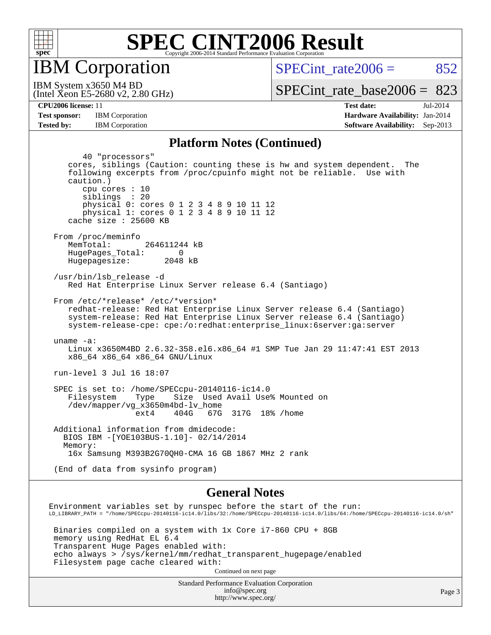

IBM Corporation

SPECint rate $2006 = 852$ 

(Intel Xeon E5-2680 v2, 2.80 GHz) IBM System x3650 M4 BD

[SPECint\\_rate\\_base2006 =](http://www.spec.org/auto/cpu2006/Docs/result-fields.html#SPECintratebase2006) 823

**[Tested by:](http://www.spec.org/auto/cpu2006/Docs/result-fields.html#Testedby)** IBM Corporation **[Software Availability:](http://www.spec.org/auto/cpu2006/Docs/result-fields.html#SoftwareAvailability)** Sep-2013

**[CPU2006 license:](http://www.spec.org/auto/cpu2006/Docs/result-fields.html#CPU2006license)** 11 **[Test date:](http://www.spec.org/auto/cpu2006/Docs/result-fields.html#Testdate)** Jul-2014 **[Test sponsor:](http://www.spec.org/auto/cpu2006/Docs/result-fields.html#Testsponsor)** IBM Corporation **[Hardware Availability:](http://www.spec.org/auto/cpu2006/Docs/result-fields.html#HardwareAvailability)** Jan-2014

#### **[Platform Notes \(Continued\)](http://www.spec.org/auto/cpu2006/Docs/result-fields.html#PlatformNotes)**

 40 "processors" cores, siblings (Caution: counting these is hw and system dependent. The following excerpts from /proc/cpuinfo might not be reliable. Use with caution.) cpu cores : 10 siblings : 20 physical 0: cores 0 1 2 3 4 8 9 10 11 12 physical 1: cores 0 1 2 3 4 8 9 10 11 12 cache size : 25600 KB From /proc/meminfo MemTotal: 264611244 kB HugePages\_Total: 0<br>Hugepagesize: 2048 kB Hugepagesize: /usr/bin/lsb\_release -d Red Hat Enterprise Linux Server release 6.4 (Santiago) From /etc/\*release\* /etc/\*version\* redhat-release: Red Hat Enterprise Linux Server release 6.4 (Santiago) system-release: Red Hat Enterprise Linux Server release 6.4 (Santiago) system-release-cpe: cpe:/o:redhat:enterprise\_linux:6server:ga:server uname -a: Linux x3650M4BD 2.6.32-358.el6.x86\_64 #1 SMP Tue Jan 29 11:47:41 EST 2013 x86\_64 x86\_64 x86\_64 GNU/Linux run-level 3 Jul 16 18:07 SPEC is set to: /home/SPECcpu-20140116-ic14.0 Filesystem Type Size Used Avail Use% Mounted on /dev/mapper/vg\_x3650m4bd-lv\_home ext4 404G 67G 317G 18% /home Additional information from dmidecode: BIOS IBM -[YOE103BUS-1.10]- 02/14/2014 Memory: 16x Samsung M393B2G70QH0-CMA 16 GB 1867 MHz 2 rank (End of data from sysinfo program) **[General Notes](http://www.spec.org/auto/cpu2006/Docs/result-fields.html#GeneralNotes)** Environment variables set by runspec before the start of the run: LD\_LIBRARY\_PATH = "/home/SPECcpu-20140116-ic14.0/libs/32:/home/SPECcpu-20140116-ic14.0/libs/64:/home/SPECcpu-20140116-ic14.0/sh"

 Binaries compiled on a system with 1x Core i7-860 CPU + 8GB memory using RedHat EL 6.4 Transparent Huge Pages enabled with: echo always > /sys/kernel/mm/redhat\_transparent\_hugepage/enabled Filesystem page cache cleared with:

Continued on next page

Standard Performance Evaluation Corporation [info@spec.org](mailto:info@spec.org) <http://www.spec.org/>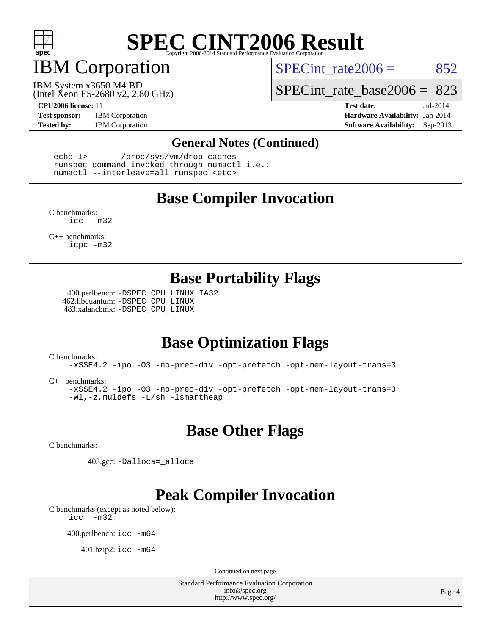

## IBM Corporation

SPECint rate $2006 = 852$ 

(Intel Xeon E5-2680 v2, 2.80 GHz) IBM System x3650 M4 BD

[SPECint\\_rate\\_base2006 =](http://www.spec.org/auto/cpu2006/Docs/result-fields.html#SPECintratebase2006) 823

**[Test sponsor:](http://www.spec.org/auto/cpu2006/Docs/result-fields.html#Testsponsor)** IBM Corporation **[Hardware Availability:](http://www.spec.org/auto/cpu2006/Docs/result-fields.html#HardwareAvailability)** Jan-2014

**[CPU2006 license:](http://www.spec.org/auto/cpu2006/Docs/result-fields.html#CPU2006license)** 11 **[Test date:](http://www.spec.org/auto/cpu2006/Docs/result-fields.html#Testdate)** Jul-2014 **[Tested by:](http://www.spec.org/auto/cpu2006/Docs/result-fields.html#Testedby)** IBM Corporation **[Software Availability:](http://www.spec.org/auto/cpu2006/Docs/result-fields.html#SoftwareAvailability)** Sep-2013

#### **[General Notes \(Continued\)](http://www.spec.org/auto/cpu2006/Docs/result-fields.html#GeneralNotes)**

 echo 1> /proc/sys/vm/drop\_caches runspec command invoked through numactl i.e.: numactl --interleave=all runspec <etc>

### **[Base Compiler Invocation](http://www.spec.org/auto/cpu2006/Docs/result-fields.html#BaseCompilerInvocation)**

[C benchmarks](http://www.spec.org/auto/cpu2006/Docs/result-fields.html#Cbenchmarks): [icc -m32](http://www.spec.org/cpu2006/results/res2014q3/cpu2006-20140727-30639.flags.html#user_CCbase_intel_icc_5ff4a39e364c98233615fdd38438c6f2)

[C++ benchmarks:](http://www.spec.org/auto/cpu2006/Docs/result-fields.html#CXXbenchmarks) [icpc -m32](http://www.spec.org/cpu2006/results/res2014q3/cpu2006-20140727-30639.flags.html#user_CXXbase_intel_icpc_4e5a5ef1a53fd332b3c49e69c3330699)

### **[Base Portability Flags](http://www.spec.org/auto/cpu2006/Docs/result-fields.html#BasePortabilityFlags)**

 400.perlbench: [-DSPEC\\_CPU\\_LINUX\\_IA32](http://www.spec.org/cpu2006/results/res2014q3/cpu2006-20140727-30639.flags.html#b400.perlbench_baseCPORTABILITY_DSPEC_CPU_LINUX_IA32) 462.libquantum: [-DSPEC\\_CPU\\_LINUX](http://www.spec.org/cpu2006/results/res2014q3/cpu2006-20140727-30639.flags.html#b462.libquantum_baseCPORTABILITY_DSPEC_CPU_LINUX) 483.xalancbmk: [-DSPEC\\_CPU\\_LINUX](http://www.spec.org/cpu2006/results/res2014q3/cpu2006-20140727-30639.flags.html#b483.xalancbmk_baseCXXPORTABILITY_DSPEC_CPU_LINUX)

## **[Base Optimization Flags](http://www.spec.org/auto/cpu2006/Docs/result-fields.html#BaseOptimizationFlags)**

[C benchmarks](http://www.spec.org/auto/cpu2006/Docs/result-fields.html#Cbenchmarks):

[-xSSE4.2](http://www.spec.org/cpu2006/results/res2014q3/cpu2006-20140727-30639.flags.html#user_CCbase_f-xSSE42_f91528193cf0b216347adb8b939d4107) [-ipo](http://www.spec.org/cpu2006/results/res2014q3/cpu2006-20140727-30639.flags.html#user_CCbase_f-ipo) [-O3](http://www.spec.org/cpu2006/results/res2014q3/cpu2006-20140727-30639.flags.html#user_CCbase_f-O3) [-no-prec-div](http://www.spec.org/cpu2006/results/res2014q3/cpu2006-20140727-30639.flags.html#user_CCbase_f-no-prec-div) [-opt-prefetch](http://www.spec.org/cpu2006/results/res2014q3/cpu2006-20140727-30639.flags.html#user_CCbase_f-opt-prefetch) [-opt-mem-layout-trans=3](http://www.spec.org/cpu2006/results/res2014q3/cpu2006-20140727-30639.flags.html#user_CCbase_f-opt-mem-layout-trans_a7b82ad4bd7abf52556d4961a2ae94d5)

[C++ benchmarks:](http://www.spec.org/auto/cpu2006/Docs/result-fields.html#CXXbenchmarks)

[-xSSE4.2](http://www.spec.org/cpu2006/results/res2014q3/cpu2006-20140727-30639.flags.html#user_CXXbase_f-xSSE42_f91528193cf0b216347adb8b939d4107) [-ipo](http://www.spec.org/cpu2006/results/res2014q3/cpu2006-20140727-30639.flags.html#user_CXXbase_f-ipo) [-O3](http://www.spec.org/cpu2006/results/res2014q3/cpu2006-20140727-30639.flags.html#user_CXXbase_f-O3) [-no-prec-div](http://www.spec.org/cpu2006/results/res2014q3/cpu2006-20140727-30639.flags.html#user_CXXbase_f-no-prec-div) [-opt-prefetch](http://www.spec.org/cpu2006/results/res2014q3/cpu2006-20140727-30639.flags.html#user_CXXbase_f-opt-prefetch) [-opt-mem-layout-trans=3](http://www.spec.org/cpu2006/results/res2014q3/cpu2006-20140727-30639.flags.html#user_CXXbase_f-opt-mem-layout-trans_a7b82ad4bd7abf52556d4961a2ae94d5) [-Wl,-z,muldefs](http://www.spec.org/cpu2006/results/res2014q3/cpu2006-20140727-30639.flags.html#user_CXXbase_link_force_multiple1_74079c344b956b9658436fd1b6dd3a8a) [-L/sh -lsmartheap](http://www.spec.org/cpu2006/results/res2014q3/cpu2006-20140727-30639.flags.html#user_CXXbase_SmartHeap_32f6c82aa1ed9c52345d30cf6e4a0499)

**[Base Other Flags](http://www.spec.org/auto/cpu2006/Docs/result-fields.html#BaseOtherFlags)**

[C benchmarks](http://www.spec.org/auto/cpu2006/Docs/result-fields.html#Cbenchmarks):

403.gcc: [-Dalloca=\\_alloca](http://www.spec.org/cpu2006/results/res2014q3/cpu2006-20140727-30639.flags.html#b403.gcc_baseEXTRA_CFLAGS_Dalloca_be3056838c12de2578596ca5467af7f3)

## **[Peak Compiler Invocation](http://www.spec.org/auto/cpu2006/Docs/result-fields.html#PeakCompilerInvocation)**

[C benchmarks \(except as noted below\)](http://www.spec.org/auto/cpu2006/Docs/result-fields.html#Cbenchmarksexceptasnotedbelow): [icc -m32](http://www.spec.org/cpu2006/results/res2014q3/cpu2006-20140727-30639.flags.html#user_CCpeak_intel_icc_5ff4a39e364c98233615fdd38438c6f2)

400.perlbench: [icc -m64](http://www.spec.org/cpu2006/results/res2014q3/cpu2006-20140727-30639.flags.html#user_peakCCLD400_perlbench_intel_icc_64bit_bda6cc9af1fdbb0edc3795bac97ada53)

401.bzip2: [icc -m64](http://www.spec.org/cpu2006/results/res2014q3/cpu2006-20140727-30639.flags.html#user_peakCCLD401_bzip2_intel_icc_64bit_bda6cc9af1fdbb0edc3795bac97ada53)

Continued on next page

Standard Performance Evaluation Corporation [info@spec.org](mailto:info@spec.org) <http://www.spec.org/>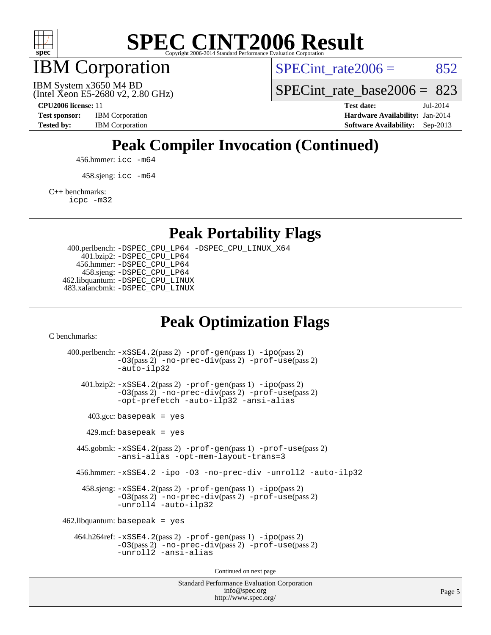

IBM Corporation

SPECint rate $2006 = 852$ 

(Intel Xeon E5-2680 v2, 2.80 GHz) IBM System x3650 M4 BD

SPECint rate base  $2006 = 823$ 

**[CPU2006 license:](http://www.spec.org/auto/cpu2006/Docs/result-fields.html#CPU2006license)** 11 **[Test date:](http://www.spec.org/auto/cpu2006/Docs/result-fields.html#Testdate)** Jul-2014 **[Test sponsor:](http://www.spec.org/auto/cpu2006/Docs/result-fields.html#Testsponsor)** IBM Corporation **[Hardware Availability:](http://www.spec.org/auto/cpu2006/Docs/result-fields.html#HardwareAvailability)** Jan-2014 [Tested by:](http://www.spec.org/auto/cpu2006/Docs/result-fields.html#Testedby) IBM Corporation **[Software Availability:](http://www.spec.org/auto/cpu2006/Docs/result-fields.html#SoftwareAvailability)** Sep-2013

## **[Peak Compiler Invocation \(Continued\)](http://www.spec.org/auto/cpu2006/Docs/result-fields.html#PeakCompilerInvocation)**

456.hmmer: [icc -m64](http://www.spec.org/cpu2006/results/res2014q3/cpu2006-20140727-30639.flags.html#user_peakCCLD456_hmmer_intel_icc_64bit_bda6cc9af1fdbb0edc3795bac97ada53)

458.sjeng: [icc -m64](http://www.spec.org/cpu2006/results/res2014q3/cpu2006-20140727-30639.flags.html#user_peakCCLD458_sjeng_intel_icc_64bit_bda6cc9af1fdbb0edc3795bac97ada53)

[C++ benchmarks:](http://www.spec.org/auto/cpu2006/Docs/result-fields.html#CXXbenchmarks)

[icpc -m32](http://www.spec.org/cpu2006/results/res2014q3/cpu2006-20140727-30639.flags.html#user_CXXpeak_intel_icpc_4e5a5ef1a53fd332b3c49e69c3330699)

**[Peak Portability Flags](http://www.spec.org/auto/cpu2006/Docs/result-fields.html#PeakPortabilityFlags)**

 400.perlbench: [-DSPEC\\_CPU\\_LP64](http://www.spec.org/cpu2006/results/res2014q3/cpu2006-20140727-30639.flags.html#b400.perlbench_peakCPORTABILITY_DSPEC_CPU_LP64) [-DSPEC\\_CPU\\_LINUX\\_X64](http://www.spec.org/cpu2006/results/res2014q3/cpu2006-20140727-30639.flags.html#b400.perlbench_peakCPORTABILITY_DSPEC_CPU_LINUX_X64) 401.bzip2: [-DSPEC\\_CPU\\_LP64](http://www.spec.org/cpu2006/results/res2014q3/cpu2006-20140727-30639.flags.html#suite_peakCPORTABILITY401_bzip2_DSPEC_CPU_LP64) 456.hmmer: [-DSPEC\\_CPU\\_LP64](http://www.spec.org/cpu2006/results/res2014q3/cpu2006-20140727-30639.flags.html#suite_peakCPORTABILITY456_hmmer_DSPEC_CPU_LP64) 458.sjeng: [-DSPEC\\_CPU\\_LP64](http://www.spec.org/cpu2006/results/res2014q3/cpu2006-20140727-30639.flags.html#suite_peakCPORTABILITY458_sjeng_DSPEC_CPU_LP64) 462.libquantum: [-DSPEC\\_CPU\\_LINUX](http://www.spec.org/cpu2006/results/res2014q3/cpu2006-20140727-30639.flags.html#b462.libquantum_peakCPORTABILITY_DSPEC_CPU_LINUX) 483.xalancbmk: [-DSPEC\\_CPU\\_LINUX](http://www.spec.org/cpu2006/results/res2014q3/cpu2006-20140727-30639.flags.html#b483.xalancbmk_peakCXXPORTABILITY_DSPEC_CPU_LINUX)

### **[Peak Optimization Flags](http://www.spec.org/auto/cpu2006/Docs/result-fields.html#PeakOptimizationFlags)**

[C benchmarks](http://www.spec.org/auto/cpu2006/Docs/result-fields.html#Cbenchmarks):

Standard Performance Evaluation Corporation 400.perlbench: [-xSSE4.2](http://www.spec.org/cpu2006/results/res2014q3/cpu2006-20140727-30639.flags.html#user_peakPASS2_CFLAGSPASS2_LDCFLAGS400_perlbench_f-xSSE42_f91528193cf0b216347adb8b939d4107)(pass 2) [-prof-gen](http://www.spec.org/cpu2006/results/res2014q3/cpu2006-20140727-30639.flags.html#user_peakPASS1_CFLAGSPASS1_LDCFLAGS400_perlbench_prof_gen_e43856698f6ca7b7e442dfd80e94a8fc)(pass 1) [-ipo](http://www.spec.org/cpu2006/results/res2014q3/cpu2006-20140727-30639.flags.html#user_peakPASS2_CFLAGSPASS2_LDCFLAGS400_perlbench_f-ipo)(pass 2) [-O3](http://www.spec.org/cpu2006/results/res2014q3/cpu2006-20140727-30639.flags.html#user_peakPASS2_CFLAGSPASS2_LDCFLAGS400_perlbench_f-O3)(pass 2) [-no-prec-div](http://www.spec.org/cpu2006/results/res2014q3/cpu2006-20140727-30639.flags.html#user_peakPASS2_CFLAGSPASS2_LDCFLAGS400_perlbench_f-no-prec-div)(pass 2) [-prof-use](http://www.spec.org/cpu2006/results/res2014q3/cpu2006-20140727-30639.flags.html#user_peakPASS2_CFLAGSPASS2_LDCFLAGS400_perlbench_prof_use_bccf7792157ff70d64e32fe3e1250b55)(pass 2) [-auto-ilp32](http://www.spec.org/cpu2006/results/res2014q3/cpu2006-20140727-30639.flags.html#user_peakCOPTIMIZE400_perlbench_f-auto-ilp32) 401.bzip2: [-xSSE4.2](http://www.spec.org/cpu2006/results/res2014q3/cpu2006-20140727-30639.flags.html#user_peakPASS2_CFLAGSPASS2_LDCFLAGS401_bzip2_f-xSSE42_f91528193cf0b216347adb8b939d4107)(pass 2) [-prof-gen](http://www.spec.org/cpu2006/results/res2014q3/cpu2006-20140727-30639.flags.html#user_peakPASS1_CFLAGSPASS1_LDCFLAGS401_bzip2_prof_gen_e43856698f6ca7b7e442dfd80e94a8fc)(pass 1) [-ipo](http://www.spec.org/cpu2006/results/res2014q3/cpu2006-20140727-30639.flags.html#user_peakPASS2_CFLAGSPASS2_LDCFLAGS401_bzip2_f-ipo)(pass 2) [-O3](http://www.spec.org/cpu2006/results/res2014q3/cpu2006-20140727-30639.flags.html#user_peakPASS2_CFLAGSPASS2_LDCFLAGS401_bzip2_f-O3)(pass 2) [-no-prec-div](http://www.spec.org/cpu2006/results/res2014q3/cpu2006-20140727-30639.flags.html#user_peakPASS2_CFLAGSPASS2_LDCFLAGS401_bzip2_f-no-prec-div)(pass 2) [-prof-use](http://www.spec.org/cpu2006/results/res2014q3/cpu2006-20140727-30639.flags.html#user_peakPASS2_CFLAGSPASS2_LDCFLAGS401_bzip2_prof_use_bccf7792157ff70d64e32fe3e1250b55)(pass 2) [-opt-prefetch](http://www.spec.org/cpu2006/results/res2014q3/cpu2006-20140727-30639.flags.html#user_peakCOPTIMIZE401_bzip2_f-opt-prefetch) [-auto-ilp32](http://www.spec.org/cpu2006/results/res2014q3/cpu2006-20140727-30639.flags.html#user_peakCOPTIMIZE401_bzip2_f-auto-ilp32) [-ansi-alias](http://www.spec.org/cpu2006/results/res2014q3/cpu2006-20140727-30639.flags.html#user_peakCOPTIMIZE401_bzip2_f-ansi-alias)  $403.\text{gcc: basepeak}$  = yes  $429$ .mcf: basepeak = yes 445.gobmk: [-xSSE4.2](http://www.spec.org/cpu2006/results/res2014q3/cpu2006-20140727-30639.flags.html#user_peakPASS2_CFLAGSPASS2_LDCFLAGS445_gobmk_f-xSSE42_f91528193cf0b216347adb8b939d4107)(pass 2) [-prof-gen](http://www.spec.org/cpu2006/results/res2014q3/cpu2006-20140727-30639.flags.html#user_peakPASS1_CFLAGSPASS1_LDCFLAGS445_gobmk_prof_gen_e43856698f6ca7b7e442dfd80e94a8fc)(pass 1) [-prof-use](http://www.spec.org/cpu2006/results/res2014q3/cpu2006-20140727-30639.flags.html#user_peakPASS2_CFLAGSPASS2_LDCFLAGS445_gobmk_prof_use_bccf7792157ff70d64e32fe3e1250b55)(pass 2) [-ansi-alias](http://www.spec.org/cpu2006/results/res2014q3/cpu2006-20140727-30639.flags.html#user_peakCOPTIMIZE445_gobmk_f-ansi-alias) [-opt-mem-layout-trans=3](http://www.spec.org/cpu2006/results/res2014q3/cpu2006-20140727-30639.flags.html#user_peakCOPTIMIZE445_gobmk_f-opt-mem-layout-trans_a7b82ad4bd7abf52556d4961a2ae94d5) 456.hmmer: [-xSSE4.2](http://www.spec.org/cpu2006/results/res2014q3/cpu2006-20140727-30639.flags.html#user_peakCOPTIMIZE456_hmmer_f-xSSE42_f91528193cf0b216347adb8b939d4107) [-ipo](http://www.spec.org/cpu2006/results/res2014q3/cpu2006-20140727-30639.flags.html#user_peakCOPTIMIZE456_hmmer_f-ipo) [-O3](http://www.spec.org/cpu2006/results/res2014q3/cpu2006-20140727-30639.flags.html#user_peakCOPTIMIZE456_hmmer_f-O3) [-no-prec-div](http://www.spec.org/cpu2006/results/res2014q3/cpu2006-20140727-30639.flags.html#user_peakCOPTIMIZE456_hmmer_f-no-prec-div) [-unroll2](http://www.spec.org/cpu2006/results/res2014q3/cpu2006-20140727-30639.flags.html#user_peakCOPTIMIZE456_hmmer_f-unroll_784dae83bebfb236979b41d2422d7ec2) [-auto-ilp32](http://www.spec.org/cpu2006/results/res2014q3/cpu2006-20140727-30639.flags.html#user_peakCOPTIMIZE456_hmmer_f-auto-ilp32) 458.sjeng: [-xSSE4.2](http://www.spec.org/cpu2006/results/res2014q3/cpu2006-20140727-30639.flags.html#user_peakPASS2_CFLAGSPASS2_LDCFLAGS458_sjeng_f-xSSE42_f91528193cf0b216347adb8b939d4107)(pass 2) [-prof-gen](http://www.spec.org/cpu2006/results/res2014q3/cpu2006-20140727-30639.flags.html#user_peakPASS1_CFLAGSPASS1_LDCFLAGS458_sjeng_prof_gen_e43856698f6ca7b7e442dfd80e94a8fc)(pass 1) [-ipo](http://www.spec.org/cpu2006/results/res2014q3/cpu2006-20140727-30639.flags.html#user_peakPASS2_CFLAGSPASS2_LDCFLAGS458_sjeng_f-ipo)(pass 2) [-O3](http://www.spec.org/cpu2006/results/res2014q3/cpu2006-20140727-30639.flags.html#user_peakPASS2_CFLAGSPASS2_LDCFLAGS458_sjeng_f-O3)(pass 2) [-no-prec-div](http://www.spec.org/cpu2006/results/res2014q3/cpu2006-20140727-30639.flags.html#user_peakPASS2_CFLAGSPASS2_LDCFLAGS458_sjeng_f-no-prec-div)(pass 2) [-prof-use](http://www.spec.org/cpu2006/results/res2014q3/cpu2006-20140727-30639.flags.html#user_peakPASS2_CFLAGSPASS2_LDCFLAGS458_sjeng_prof_use_bccf7792157ff70d64e32fe3e1250b55)(pass 2) [-unroll4](http://www.spec.org/cpu2006/results/res2014q3/cpu2006-20140727-30639.flags.html#user_peakCOPTIMIZE458_sjeng_f-unroll_4e5e4ed65b7fd20bdcd365bec371b81f) [-auto-ilp32](http://www.spec.org/cpu2006/results/res2014q3/cpu2006-20140727-30639.flags.html#user_peakCOPTIMIZE458_sjeng_f-auto-ilp32)  $462$ .libquantum: basepeak = yes 464.h264ref: [-xSSE4.2](http://www.spec.org/cpu2006/results/res2014q3/cpu2006-20140727-30639.flags.html#user_peakPASS2_CFLAGSPASS2_LDCFLAGS464_h264ref_f-xSSE42_f91528193cf0b216347adb8b939d4107)(pass 2) [-prof-gen](http://www.spec.org/cpu2006/results/res2014q3/cpu2006-20140727-30639.flags.html#user_peakPASS1_CFLAGSPASS1_LDCFLAGS464_h264ref_prof_gen_e43856698f6ca7b7e442dfd80e94a8fc)(pass 1) [-ipo](http://www.spec.org/cpu2006/results/res2014q3/cpu2006-20140727-30639.flags.html#user_peakPASS2_CFLAGSPASS2_LDCFLAGS464_h264ref_f-ipo)(pass 2) [-O3](http://www.spec.org/cpu2006/results/res2014q3/cpu2006-20140727-30639.flags.html#user_peakPASS2_CFLAGSPASS2_LDCFLAGS464_h264ref_f-O3)(pass 2) [-no-prec-div](http://www.spec.org/cpu2006/results/res2014q3/cpu2006-20140727-30639.flags.html#user_peakPASS2_CFLAGSPASS2_LDCFLAGS464_h264ref_f-no-prec-div)(pass 2) [-prof-use](http://www.spec.org/cpu2006/results/res2014q3/cpu2006-20140727-30639.flags.html#user_peakPASS2_CFLAGSPASS2_LDCFLAGS464_h264ref_prof_use_bccf7792157ff70d64e32fe3e1250b55)(pass 2) [-unroll2](http://www.spec.org/cpu2006/results/res2014q3/cpu2006-20140727-30639.flags.html#user_peakCOPTIMIZE464_h264ref_f-unroll_784dae83bebfb236979b41d2422d7ec2) [-ansi-alias](http://www.spec.org/cpu2006/results/res2014q3/cpu2006-20140727-30639.flags.html#user_peakCOPTIMIZE464_h264ref_f-ansi-alias) Continued on next page

[info@spec.org](mailto:info@spec.org) <http://www.spec.org/>